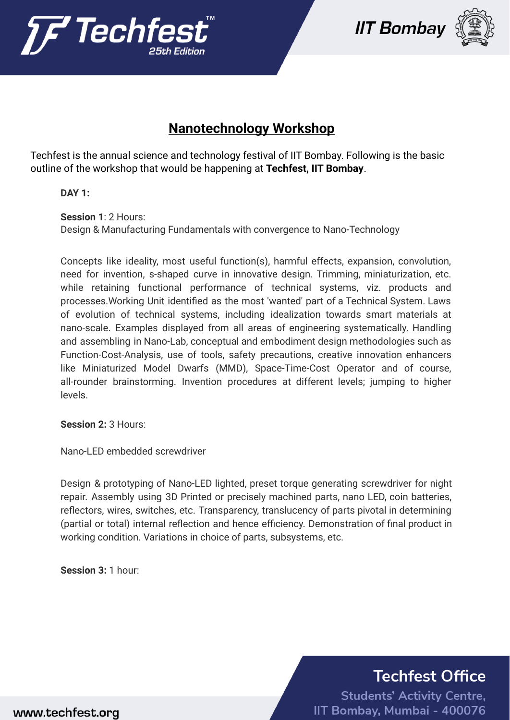





## **Nanotechnology Workshop**

Techfest is the annual science and technology festival of IIT Bombay. Following is the basic outline of the workshop that would be happening at **Techfest, IIT Bombay**.

### **DAY 1:**

**Session 1**: 2 Hours:

Design & Manufacturing Fundamentals with convergence to Nano-Technology

Concepts like ideality, most useful function(s), harmful effects, expansion, convolution, need for invention, s-shaped curve in innovative design. Trimming, miniaturization, etc. while retaining functional performance of technical systems, viz. products and processes.Working Unit identified as the most 'wanted' part of a Technical System. Laws of evolution of technical systems, including idealization towards smart materials at nano-scale. Examples displayed from all areas of engineering systematically. Handling and assembling in Nano-Lab, conceptual and embodiment design methodologies such as Function-Cost-Analysis, use of tools, safety precautions, creative innovation enhancers like Miniaturized Model Dwarfs (MMD), Space-Time-Cost Operator and of course, all-rounder brainstorming. Invention procedures at different levels; jumping to higher levels.

**Session 2:** 3 Hours:

Nano-LED embedded screwdriver

Design & prototyping of Nano-LED lighted, preset torque generating screwdriver for night repair. Assembly using 3D Printed or precisely machined parts, nano LED, coin batteries, reflectors, wires, switches, etc. Transparency, translucency of parts pivotal in determining (partial or total) internal reflection and hence efficiency. Demonstration of final product in working condition. Variations in choice of parts, subsystems, etc.

**Session 3:** 1 hour:

# **Techfest Office**

**Students' Activity Centre,** IIT Bombay, Mumbai - 400076